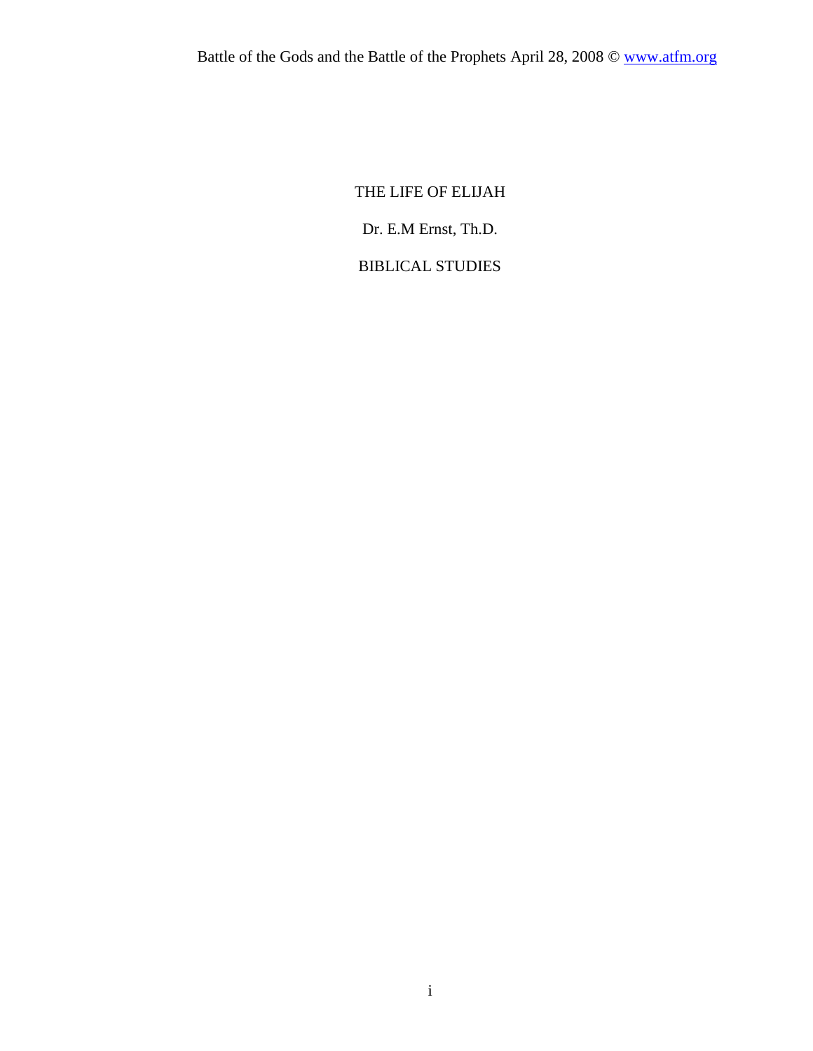## THE LIFE OF ELIJAH

Dr. E.M Ernst, Th.D.

# BIBLICAL STUDIES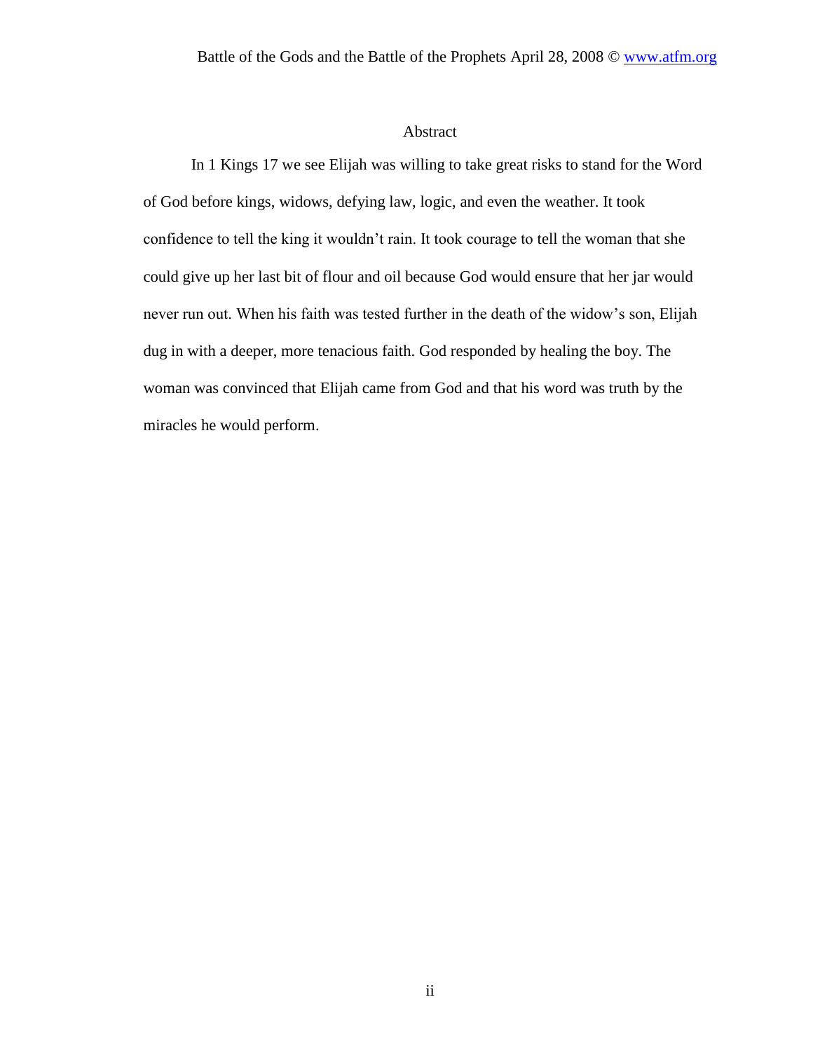#### Abstract

In 1 Kings 17 we see Elijah was willing to take great risks to stand for the Word of God before kings, widows, defying law, logic, and even the weather. It took confidence to tell the king it wouldn't rain. It took courage to tell the woman that she could give up her last bit of flour and oil because God would ensure that her jar would never run out. When his faith was tested further in the death of the widow's son, Elijah dug in with a deeper, more tenacious faith. God responded by healing the boy. The woman was convinced that Elijah came from God and that his word was truth by the miracles he would perform.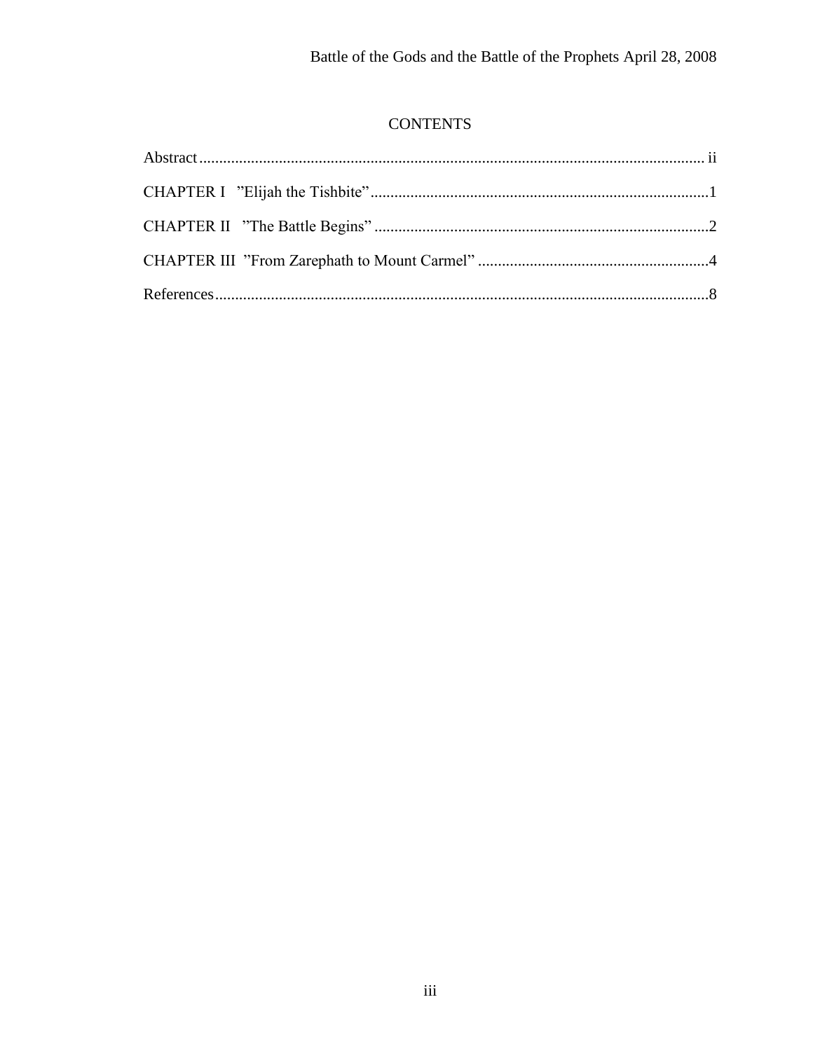# **CONTENTS**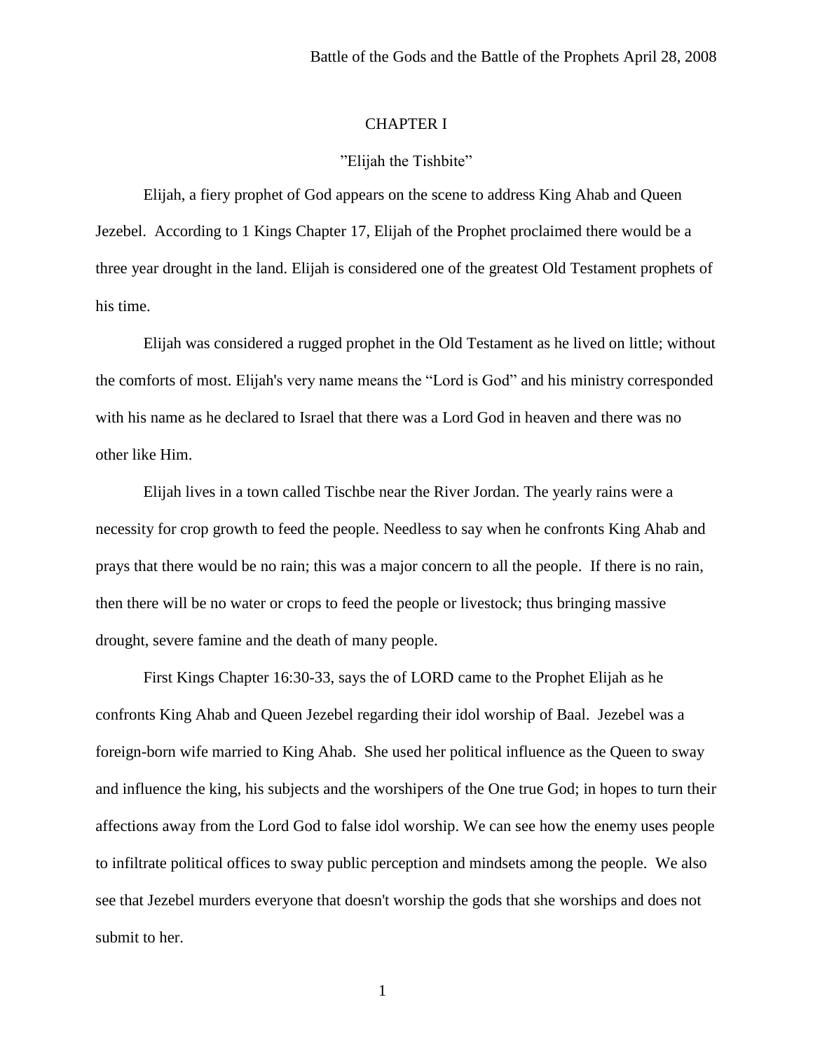#### CHAPTER I

#### "Elijah the Tishbite"

Elijah, a fiery prophet of God appears on the scene to address King Ahab and Queen Jezebel. According to 1 Kings Chapter 17, Elijah of the Prophet proclaimed there would be a three year drought in the land. Elijah is considered one of the greatest Old Testament prophets of his time.

Elijah was considered a rugged prophet in the Old Testament as he lived on little; without the comforts of most. Elijah's very name means the "Lord is God" and his ministry corresponded with his name as he declared to Israel that there was a Lord God in heaven and there was no other like Him.

Elijah lives in a town called Tischbe near the River Jordan. The yearly rains were a necessity for crop growth to feed the people. Needless to say when he confronts King Ahab and prays that there would be no rain; this was a major concern to all the people. If there is no rain, then there will be no water or crops to feed the people or livestock; thus bringing massive drought, severe famine and the death of many people.

First Kings Chapter 16:30-33, says the of LORD came to the Prophet Elijah as he confronts King Ahab and Queen Jezebel regarding their idol worship of Baal. Jezebel was a foreign-born wife married to King Ahab. She used her political influence as the Queen to sway and influence the king, his subjects and the worshipers of the One true God; in hopes to turn their affections away from the Lord God to false idol worship. We can see how the enemy uses people to infiltrate political offices to sway public perception and mindsets among the people. We also see that Jezebel murders everyone that doesn't worship the gods that she worships and does not submit to her.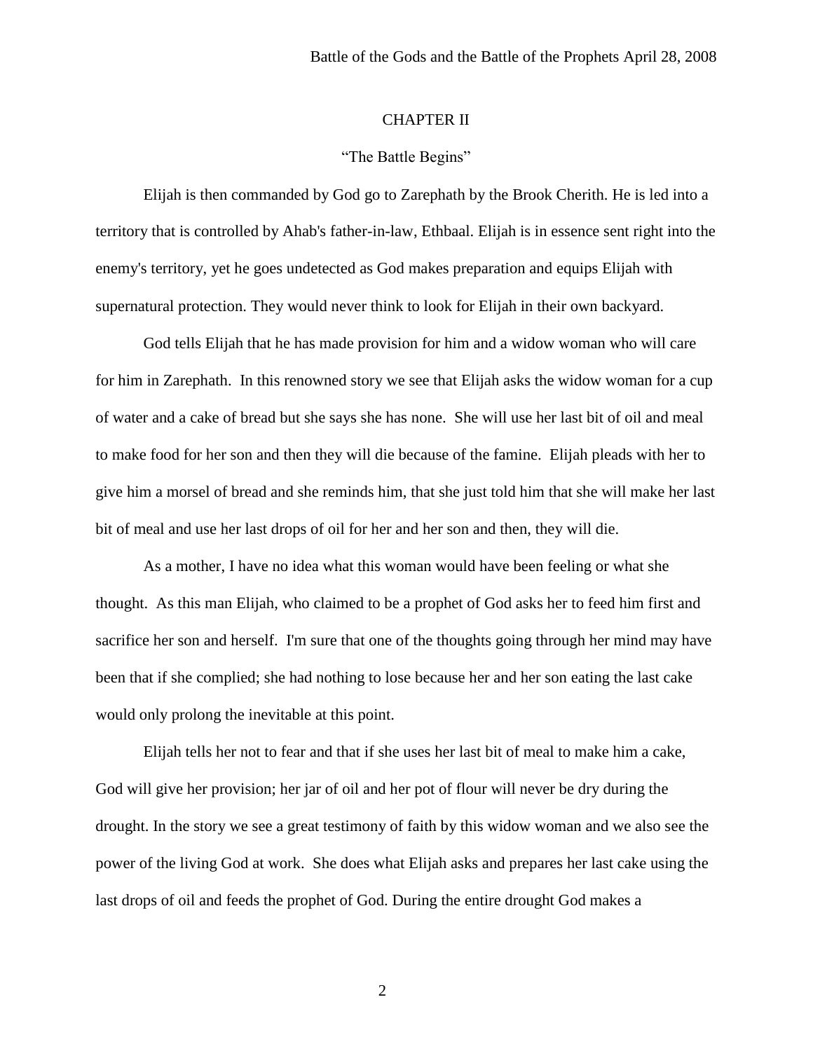### CHAPTER II

### "The Battle Begins"

Elijah is then commanded by God go to Zarephath by the Brook Cherith. He is led into a territory that is controlled by Ahab's father-in-law, Ethbaal. Elijah is in essence sent right into the enemy's territory, yet he goes undetected as God makes preparation and equips Elijah with supernatural protection. They would never think to look for Elijah in their own backyard.

God tells Elijah that he has made provision for him and a widow woman who will care for him in Zarephath. In this renowned story we see that Elijah asks the widow woman for a cup of water and a cake of bread but she says she has none. She will use her last bit of oil and meal to make food for her son and then they will die because of the famine. Elijah pleads with her to give him a morsel of bread and she reminds him, that she just told him that she will make her last bit of meal and use her last drops of oil for her and her son and then, they will die.

As a mother, I have no idea what this woman would have been feeling or what she thought. As this man Elijah, who claimed to be a prophet of God asks her to feed him first and sacrifice her son and herself. I'm sure that one of the thoughts going through her mind may have been that if she complied; she had nothing to lose because her and her son eating the last cake would only prolong the inevitable at this point.

Elijah tells her not to fear and that if she uses her last bit of meal to make him a cake, God will give her provision; her jar of oil and her pot of flour will never be dry during the drought. In the story we see a great testimony of faith by this widow woman and we also see the power of the living God at work. She does what Elijah asks and prepares her last cake using the last drops of oil and feeds the prophet of God. During the entire drought God makes a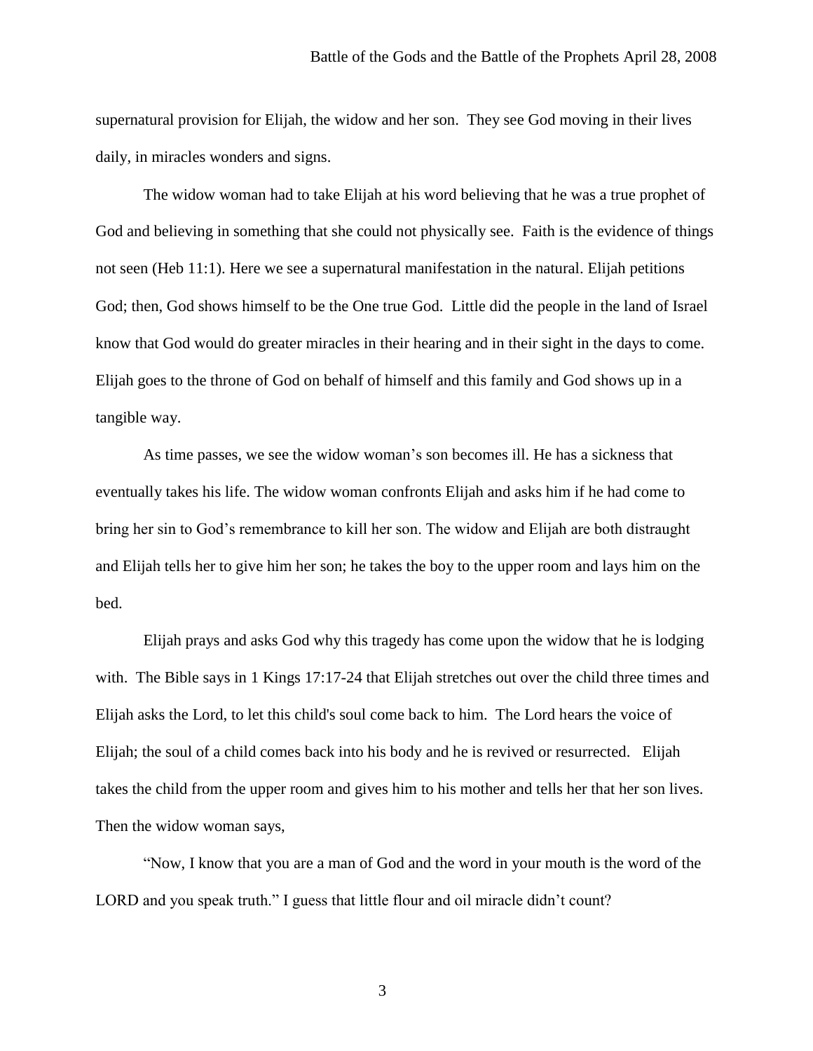supernatural provision for Elijah, the widow and her son. They see God moving in their lives daily, in miracles wonders and signs.

The widow woman had to take Elijah at his word believing that he was a true prophet of God and believing in something that she could not physically see. Faith is the evidence of things not seen (Heb 11:1). Here we see a supernatural manifestation in the natural. Elijah petitions God; then, God shows himself to be the One true God. Little did the people in the land of Israel know that God would do greater miracles in their hearing and in their sight in the days to come. Elijah goes to the throne of God on behalf of himself and this family and God shows up in a tangible way.

As time passes, we see the widow woman's son becomes ill. He has a sickness that eventually takes his life. The widow woman confronts Elijah and asks him if he had come to bring her sin to God's remembrance to kill her son. The widow and Elijah are both distraught and Elijah tells her to give him her son; he takes the boy to the upper room and lays him on the bed.

Elijah prays and asks God why this tragedy has come upon the widow that he is lodging with. The Bible says in 1 Kings 17:17-24 that Elijah stretches out over the child three times and Elijah asks the Lord, to let this child's soul come back to him. The Lord hears the voice of Elijah; the soul of a child comes back into his body and he is revived or resurrected. Elijah takes the child from the upper room and gives him to his mother and tells her that her son lives. Then the widow woman says,

"Now, I know that you are a man of God and the word in your mouth is the word of the LORD and you speak truth." I guess that little flour and oil miracle didn't count?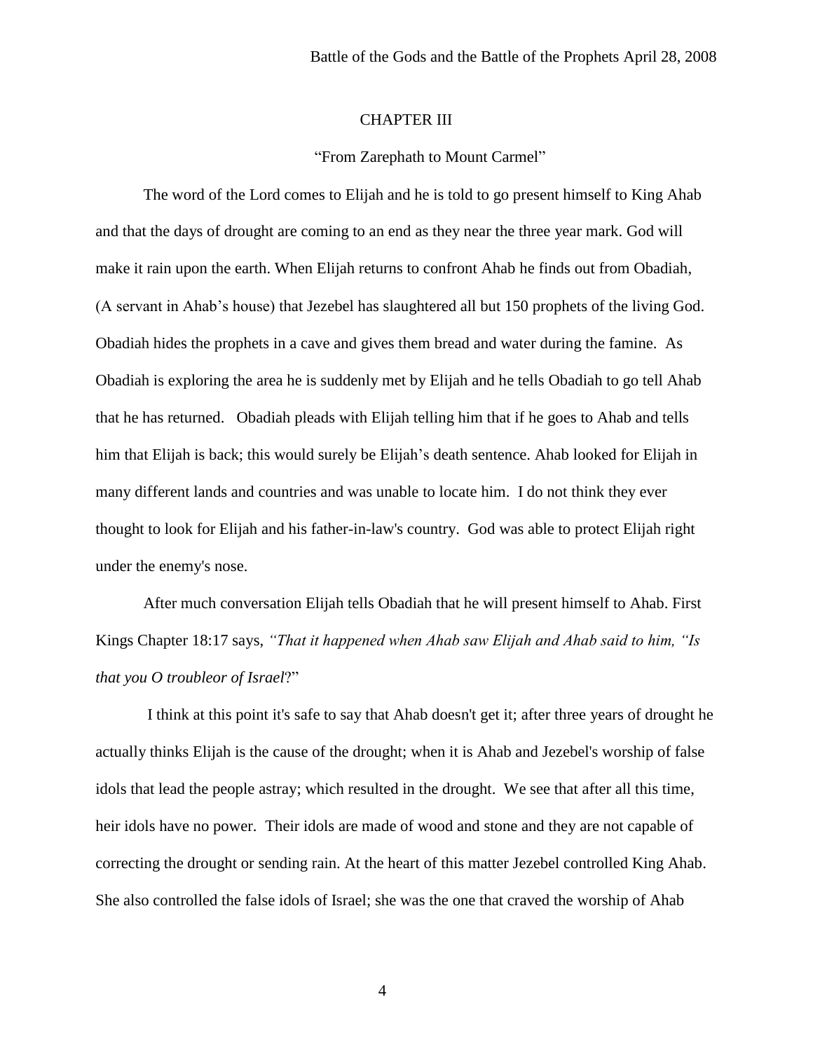### CHAPTER III

#### "From Zarephath to Mount Carmel"

The word of the Lord comes to Elijah and he is told to go present himself to King Ahab and that the days of drought are coming to an end as they near the three year mark. God will make it rain upon the earth. When Elijah returns to confront Ahab he finds out from Obadiah, (A servant in Ahab's house) that Jezebel has slaughtered all but 150 prophets of the living God. Obadiah hides the prophets in a cave and gives them bread and water during the famine. As Obadiah is exploring the area he is suddenly met by Elijah and he tells Obadiah to go tell Ahab that he has returned. Obadiah pleads with Elijah telling him that if he goes to Ahab and tells him that Elijah is back; this would surely be Elijah's death sentence. Ahab looked for Elijah in many different lands and countries and was unable to locate him. I do not think they ever thought to look for Elijah and his father-in-law's country. God was able to protect Elijah right under the enemy's nose.

After much conversation Elijah tells Obadiah that he will present himself to Ahab. First Kings Chapter 18:17 says, *"That it happened when Ahab saw Elijah and Ahab said to him, "Is that you O troubleor of Israel*?"

I think at this point it's safe to say that Ahab doesn't get it; after three years of drought he actually thinks Elijah is the cause of the drought; when it is Ahab and Jezebel's worship of false idols that lead the people astray; which resulted in the drought. We see that after all this time, heir idols have no power. Their idols are made of wood and stone and they are not capable of correcting the drought or sending rain. At the heart of this matter Jezebel controlled King Ahab. She also controlled the false idols of Israel; she was the one that craved the worship of Ahab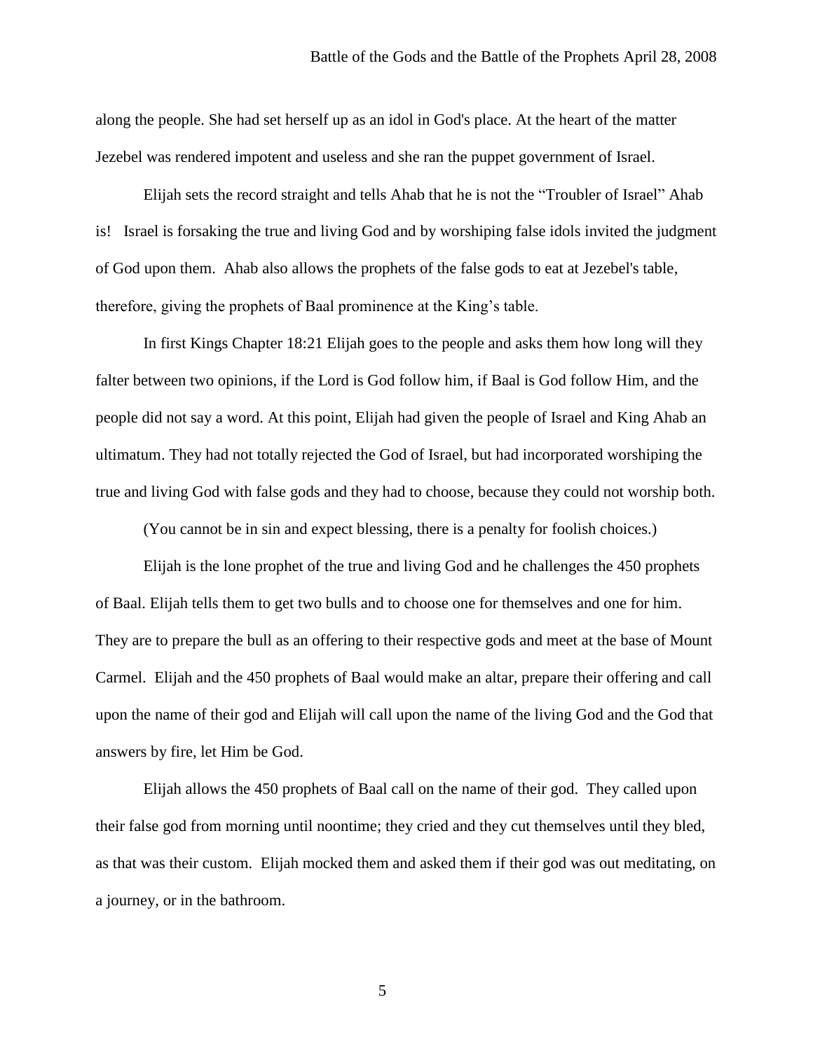along the people. She had set herself up as an idol in God's place. At the heart of the matter Jezebel was rendered impotent and useless and she ran the puppet government of Israel.

Elijah sets the record straight and tells Ahab that he is not the "Troubler of Israel" Ahab is! Israel is forsaking the true and living God and by worshiping false idols invited the judgment of God upon them. Ahab also allows the prophets of the false gods to eat at Jezebel's table, therefore, giving the prophets of Baal prominence at the King's table.

In first Kings Chapter 18:21 Elijah goes to the people and asks them how long will they falter between two opinions, if the Lord is God follow him, if Baal is God follow Him, and the people did not say a word. At this point, Elijah had given the people of Israel and King Ahab an ultimatum. They had not totally rejected the God of Israel, but had incorporated worshiping the true and living God with false gods and they had to choose, because they could not worship both.

(You cannot be in sin and expect blessing, there is a penalty for foolish choices.)

Elijah is the lone prophet of the true and living God and he challenges the 450 prophets of Baal. Elijah tells them to get two bulls and to choose one for themselves and one for him. They are to prepare the bull as an offering to their respective gods and meet at the base of Mount Carmel. Elijah and the 450 prophets of Baal would make an altar, prepare their offering and call upon the name of their god and Elijah will call upon the name of the living God and the God that answers by fire, let Him be God.

Elijah allows the 450 prophets of Baal call on the name of their god. They called upon their false god from morning until noontime; they cried and they cut themselves until they bled, as that was their custom. Elijah mocked them and asked them if their god was out meditating, on a journey, or in the bathroom.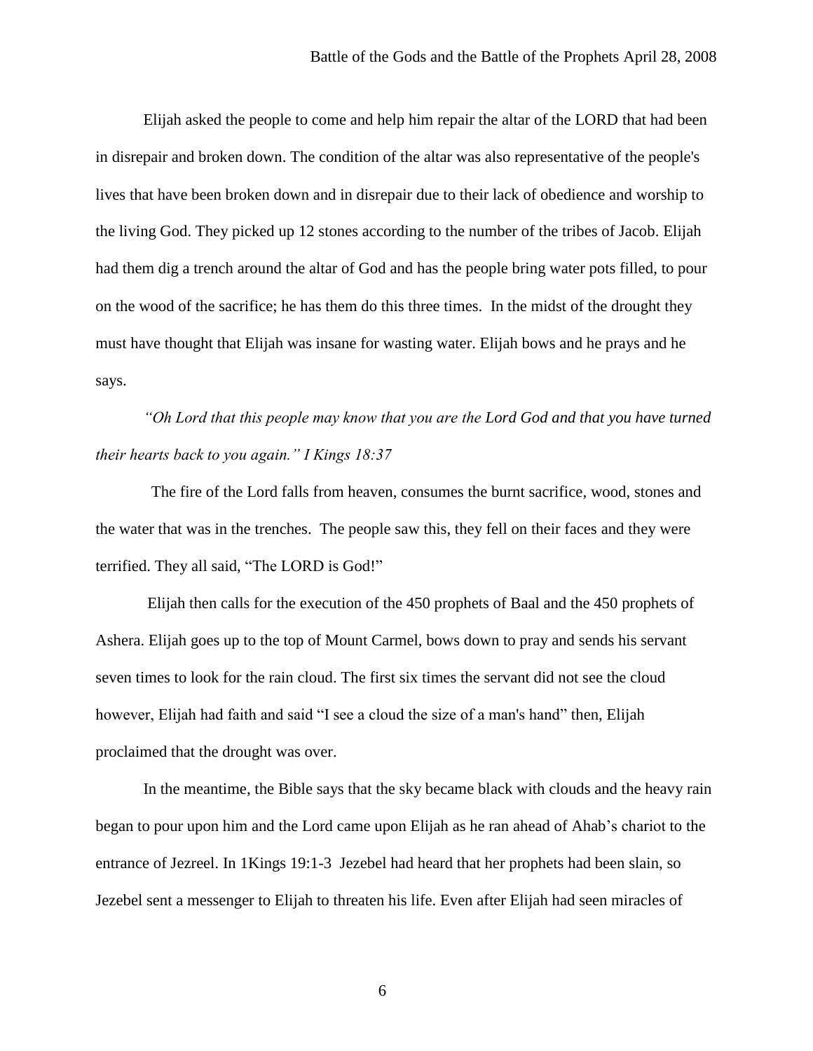Elijah asked the people to come and help him repair the altar of the LORD that had been in disrepair and broken down. The condition of the altar was also representative of the people's lives that have been broken down and in disrepair due to their lack of obedience and worship to the living God. They picked up 12 stones according to the number of the tribes of Jacob. Elijah had them dig a trench around the altar of God and has the people bring water pots filled, to pour on the wood of the sacrifice; he has them do this three times. In the midst of the drought they must have thought that Elijah was insane for wasting water. Elijah bows and he prays and he says.

*"Oh Lord that this people may know that you are the Lord God and that you have turned their hearts back to you again." I Kings 18:37*

 The fire of the Lord falls from heaven, consumes the burnt sacrifice, wood, stones and the water that was in the trenches. The people saw this, they fell on their faces and they were terrified. They all said, "The LORD is God!"

Elijah then calls for the execution of the 450 prophets of Baal and the 450 prophets of Ashera. Elijah goes up to the top of Mount Carmel, bows down to pray and sends his servant seven times to look for the rain cloud. The first six times the servant did not see the cloud however, Elijah had faith and said "I see a cloud the size of a man's hand" then, Elijah proclaimed that the drought was over.

In the meantime, the Bible says that the sky became black with clouds and the heavy rain began to pour upon him and the Lord came upon Elijah as he ran ahead of Ahab's chariot to the entrance of Jezreel. In 1Kings 19:1-3 Jezebel had heard that her prophets had been slain, so Jezebel sent a messenger to Elijah to threaten his life. Even after Elijah had seen miracles of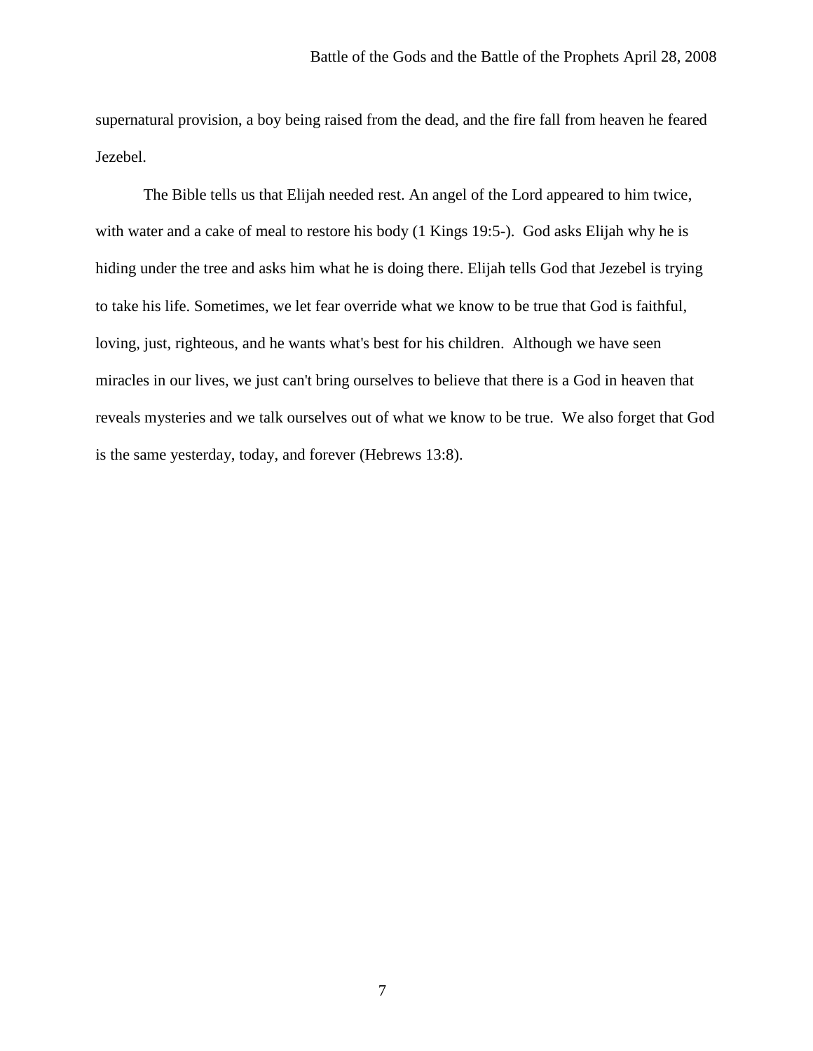supernatural provision, a boy being raised from the dead, and the fire fall from heaven he feared Jezebel.

The Bible tells us that Elijah needed rest. An angel of the Lord appeared to him twice, with water and a cake of meal to restore his body (1 Kings 19:5-). God asks Elijah why he is hiding under the tree and asks him what he is doing there. Elijah tells God that Jezebel is trying to take his life. Sometimes, we let fear override what we know to be true that God is faithful, loving, just, righteous, and he wants what's best for his children. Although we have seen miracles in our lives, we just can't bring ourselves to believe that there is a God in heaven that reveals mysteries and we talk ourselves out of what we know to be true. We also forget that God is the same yesterday, today, and forever (Hebrews 13:8).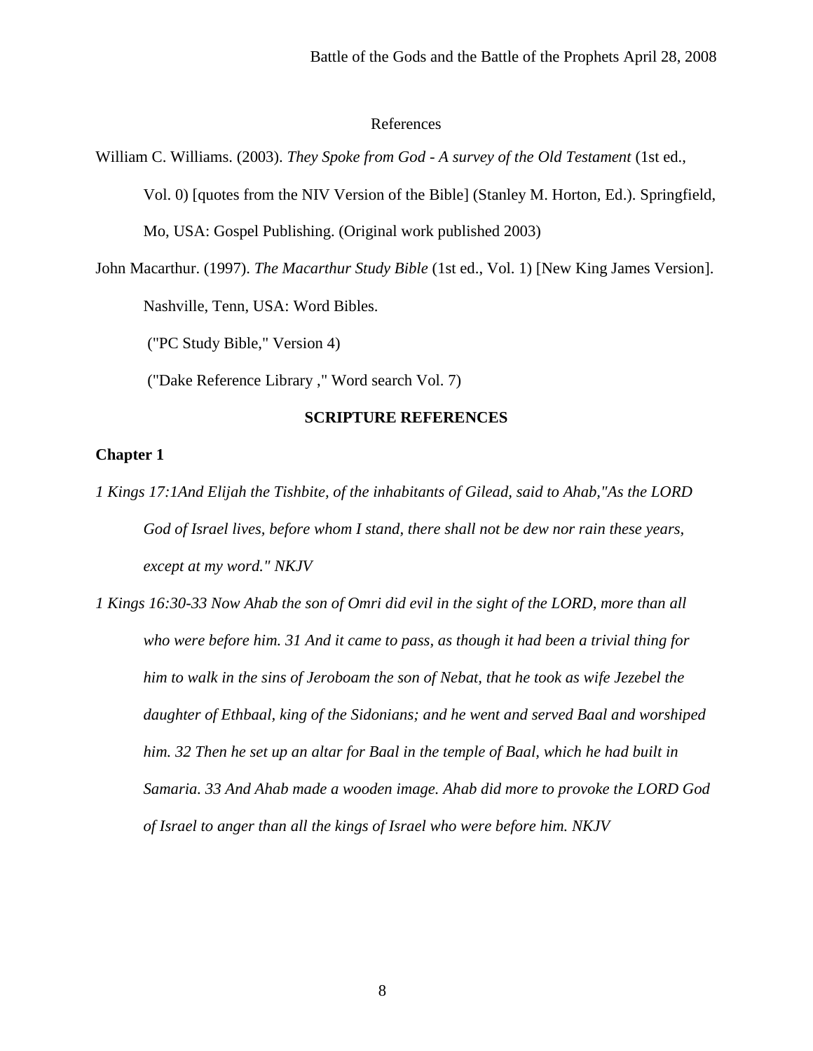#### References

William C. Williams. (2003). *They Spoke from God - A survey of the Old Testament* (1st ed.,

Vol. 0) [quotes from the NIV Version of the Bible] (Stanley M. Horton, Ed.). Springfield,

Mo, USA: Gospel Publishing. (Original work published 2003)

John Macarthur. (1997). *The Macarthur Study Bible* (1st ed., Vol. 1) [New King James Version].

Nashville, Tenn, USA: Word Bibles.

("PC Study Bible," Version 4)

("Dake Reference Library ," Word search Vol. 7)

### **SCRIPTURE REFERENCES**

### **Chapter 1**

*1 Kings 17:1And Elijah the Tishbite, of the inhabitants of Gilead, said to Ahab,"As the LORD God of Israel lives, before whom I stand, there shall not be dew nor rain these years, except at my word." NKJV*

*1 Kings 16:30-33 Now Ahab the son of Omri did evil in the sight of the LORD, more than all who were before him. 31 And it came to pass, as though it had been a trivial thing for him to walk in the sins of Jeroboam the son of Nebat, that he took as wife Jezebel the daughter of Ethbaal, king of the Sidonians; and he went and served Baal and worshiped him. 32 Then he set up an altar for Baal in the temple of Baal, which he had built in Samaria. 33 And Ahab made a wooden image. Ahab did more to provoke the LORD God of Israel to anger than all the kings of Israel who were before him. NKJV*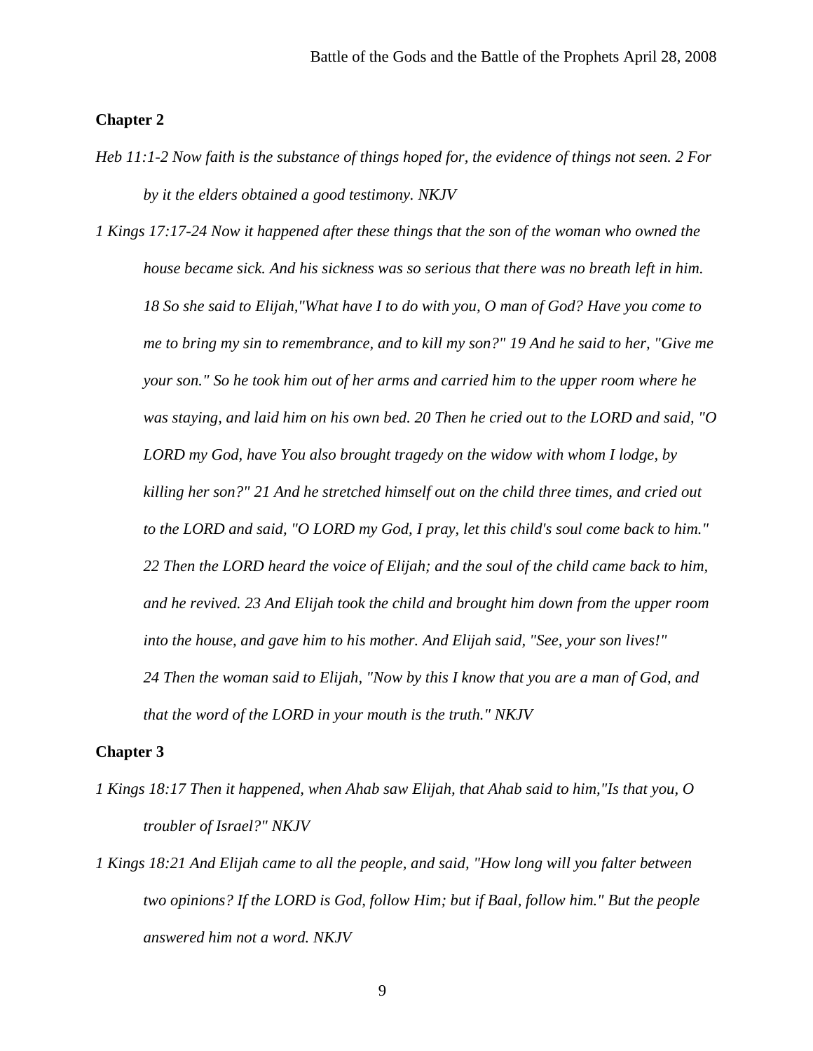#### **Chapter 2**

- *Heb 11:1-2 Now faith is the substance of things hoped for, the evidence of things not seen. 2 For by it the elders obtained a good testimony. NKJV*
- *1 Kings 17:17-24 Now it happened after these things that the son of the woman who owned the house became sick. And his sickness was so serious that there was no breath left in him. 18 So she said to Elijah,"What have I to do with you, O man of God? Have you come to me to bring my sin to remembrance, and to kill my son?" 19 And he said to her, "Give me your son." So he took him out of her arms and carried him to the upper room where he was staying, and laid him on his own bed. 20 Then he cried out to the LORD and said, "O LORD my God, have You also brought tragedy on the widow with whom I lodge, by killing her son?" 21 And he stretched himself out on the child three times, and cried out to the LORD and said, "O LORD my God, I pray, let this child's soul come back to him." 22 Then the LORD heard the voice of Elijah; and the soul of the child came back to him, and he revived. 23 And Elijah took the child and brought him down from the upper room into the house, and gave him to his mother. And Elijah said, "See, your son lives!" 24 Then the woman said to Elijah, "Now by this I know that you are a man of God, and that the word of the LORD in your mouth is the truth." NKJV*

#### **Chapter 3**

- *1 Kings 18:17 Then it happened, when Ahab saw Elijah, that Ahab said to him,"Is that you, O troubler of Israel?" NKJV*
- *1 Kings 18:21 And Elijah came to all the people, and said, "How long will you falter between two opinions? If the LORD is God, follow Him; but if Baal, follow him." But the people answered him not a word. NKJV*